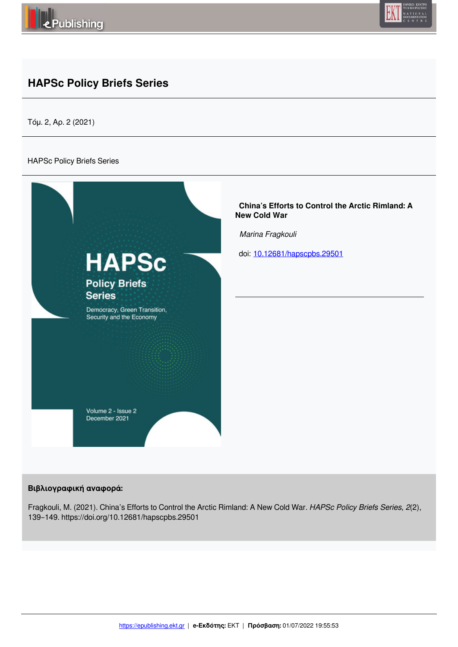



# **HAPSc Policy Briefs Series**

Τόμ. 2, Αρ. 2 (2021)

#### HAPSc Policy Briefs Series



#### **Βιβλιογραφική αναφορά:**

Fragkouli, M. (2021). China's Efforts to Control the Arctic Rimland: A New Cold War. *HAPSc Policy Briefs Series*, *2*(2), 139–149. https://doi.org/10.12681/hapscpbs.29501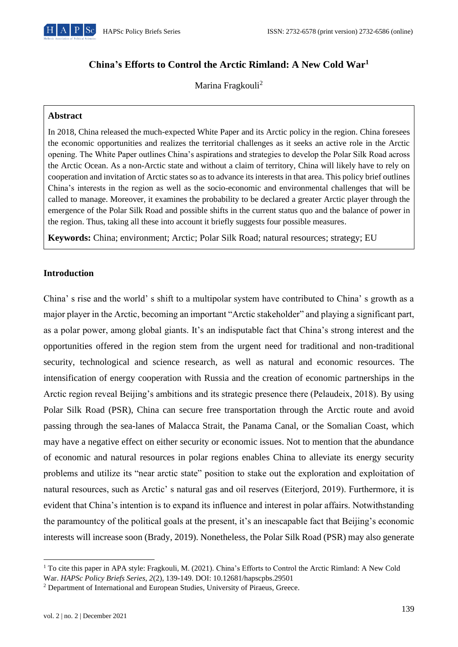

## **China's Efforts to Control the Arctic Rimland: A New Cold War<sup>1</sup>**

Marina Fragkouli<sup>2</sup>

## **Abstract**

In 2018, China released the much-expected White Paper and its Arctic policy in the region. China foresees the economic opportunities and realizes the territorial challenges as it seeks an active role in the Arctic opening. The White Paper outlines China's aspirations and strategies to develop the Polar Silk Road across the Arctic Ocean. As a non-Arctic state and without a claim of territory, China will likely have to rely on cooperation and invitation of Arctic states so as to advance its interests in that area. This policy brief outlines China's interests in the region as well as the socio-economic and environmental challenges that will be called to manage. Moreover, it examines the probability to be declared a greater Arctic player through the emergence of the Polar Silk Road and possible shifts in the current status quo and the balance of power in the region. Thus, taking all these into account it briefly suggests four possible measures.

**Keywords:** China; environment; Arctic; Polar Silk Road; natural resources; strategy; EU

## **Introduction**

China' s rise and the world' s shift to a multipolar system have contributed to China' s growth as a major player in the Arctic, becoming an important "Arctic stakeholder" and playing a significant part, as a polar power, among global giants. It's an indisputable fact that China's strong interest and the opportunities offered in the region stem from the urgent need for traditional and non-traditional security, technological and science research, as well as natural and economic resources. The intensification of energy cooperation with Russia and the creation of economic partnerships in the Arctic region reveal Beijing's ambitions and its strategic presence there (Pelaudeix, 2018). By using Polar Silk Road (PSR), China can secure free transportation through the Arctic route and avoid passing through the sea-lanes of Malacca Strait, the Panama Canal, or the Somalian Coast, which may have a negative effect on either security or economic issues. Not to mention that the abundance of economic and natural resources in polar regions enables China to alleviate its energy security problems and utilize its "near arctic state" position to stake out the exploration and exploitation of natural resources, such as Arctic' s natural gas and oil reserves (Eiterjord, 2019). Furthermore, it is evident that China's intention is to expand its influence and interest in polar affairs. Notwithstanding the paramountcy of the political goals at the present, it's an inescapable fact that Beijing's economic interests will increase soon (Brady, 2019). Nonetheless, the Polar Silk Road (PSR) may also generate

<sup>&</sup>lt;sup>1</sup> To cite this paper in APA style: Fragkouli, M. (2021). China's Efforts to Control the Arctic Rimland: A New Cold War. *HAPSc Policy Briefs Series, 2*(2), 139-149. DOI: 10.12681/hapscpbs.29501

<sup>&</sup>lt;sup>2</sup> Department of International and European Studies, University of Piraeus, Greece.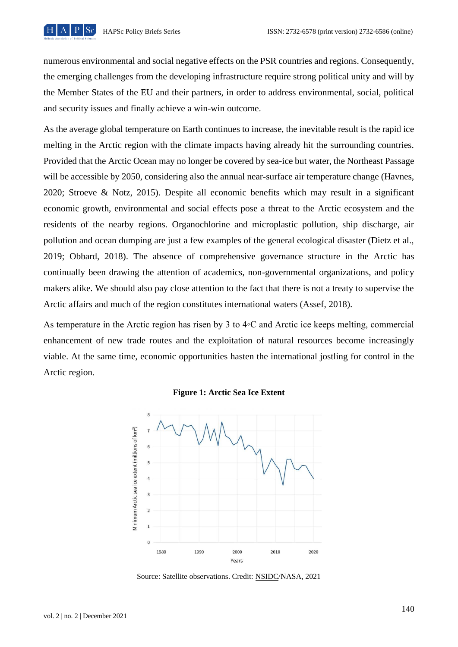

numerous environmental and social negative effects on the PSR countries and regions. Consequently, the emerging challenges from the developing infrastructure require strong political unity and will by the Member States of the EU and their partners, in order to address environmental, social, political and security issues and finally achieve a win-win outcome.

As the average global temperature on Earth continues to increase, the inevitable result is the rapid ice melting in the Arctic region with the climate impacts having already hit the surrounding countries. Provided that the Arctic Ocean may no longer be covered by sea-ice but water, the Northeast Passage will be accessible by 2050, considering also the annual near-surface air temperature change (Havnes, 2020; Stroeve & Notz, 2015). Despite all economic benefits which may result in a significant economic growth, environmental and social effects pose a threat to the Arctic ecosystem and the residents of the nearby regions. Organochlorine and microplastic pollution, ship discharge, air pollution and ocean dumping are just a few examples of the general ecological disaster (Dietz et al., 2019; Obbard, 2018). The absence of comprehensive governance structure in the Arctic has continually been drawing the attention of academics, non-governmental organizations, and policy makers alike. We should also pay close attention to the fact that there is not a treaty to supervise the Arctic affairs and much of the region constitutes international waters (Assef, 2018).

As temperature in the Arctic region has risen by 3 to 4◦C and Arctic ice keeps melting, commercial enhancement of new trade routes and the exploitation of natural resources become increasingly viable. At the same time, economic opportunities hasten the international jostling for control in the Arctic region.



#### **Figure 1: Arctic Sea Ice Extent**

Source: Satellite observations. Credit: NSIDC/NASA, 2021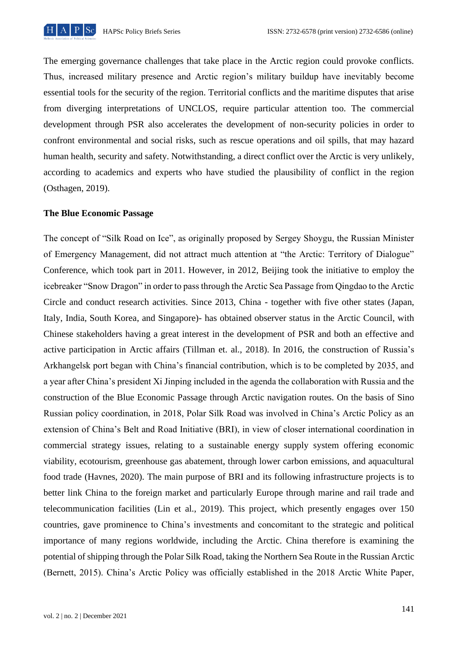

The emerging governance challenges that take place in the Arctic region could provoke conflicts. Thus, increased military presence and Arctic region's military buildup have inevitably become essential tools for the security of the region. Territorial conflicts and the maritime disputes that arise from diverging interpretations of UNCLOS, require particular attention too. The commercial development through PSR also accelerates the development of non-security policies in order to confront environmental and social risks, such as rescue operations and oil spills, that may hazard human health, security and safety. Notwithstanding, a direct conflict over the Arctic is very unlikely, according to academics and experts who have studied the plausibility of conflict in the region (Osthagen, 2019).

#### **The Blue Economic Passage**

The concept of "Silk Road on Ice", as originally proposed by Sergey Shoygu, the Russian Minister of Emergency Management, did not attract much attention at "the Arctic: Territory of Dialogue" Conference, which took part in 2011. However, in 2012, Beijing took the initiative to employ the icebreaker "Snow Dragon" in order to pass through the Arctic Sea Passage from Qingdao to the Arctic Circle and conduct research activities. Since 2013, China - together with five other states (Japan, Italy, India, South Korea, and Singapore)- has obtained observer status in the Arctic Council, with Chinese stakeholders having a great interest in the development of PSR and both an effective and active participation in Arctic affairs (Tillman et. al., 2018). In 2016, the construction of Russia's Arkhangelsk port began with China's financial contribution, which is to be completed by 2035, and a year after China's president Xi Jinping included in the agenda the collaboration with Russia and the construction of the Blue Economic Passage through Arctic navigation routes. On the basis of Sino Russian policy coordination, in 2018, Polar Silk Road was involved in China's Arctic Policy as an extension of China's Belt and Road Initiative (BRI), in view of closer international coordination in commercial strategy issues, relating to a sustainable energy supply system offering economic viability, ecotourism, greenhouse gas abatement, through lower carbon emissions, and aquacultural food trade (Havnes, 2020). The main purpose of BRI and its following infrastructure projects is to better link China to the foreign market and particularly Europe through marine and rail trade and telecommunication facilities (Lin et al., 2019). This project, which presently engages over 150 countries, gave prominence to China's investments and concomitant to the strategic and political importance of many regions worldwide, including the Arctic. China therefore is examining the potential of shipping through the Polar Silk Road, taking the Northern Sea Route in the Russian Arctic (Bernett, 2015). China's Arctic Policy was officially established in the 2018 Arctic White Paper,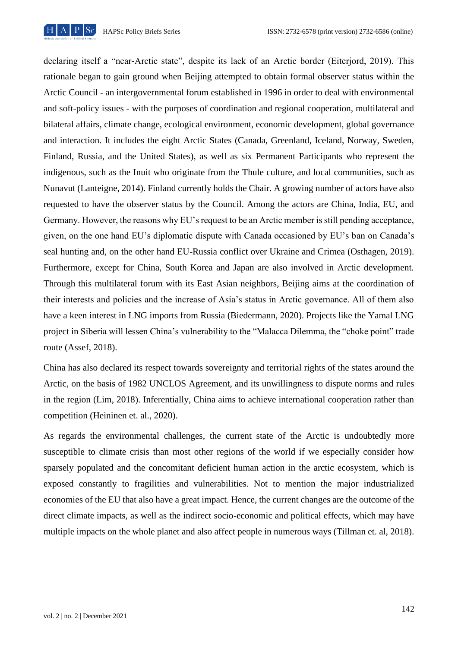

declaring itself a "near-Arctic state", despite its lack of an Arctic border (Eiterjord, 2019). This rationale began to gain ground when Beijing attempted to obtain formal observer status within the Arctic Council - an intergovernmental forum established in 1996 in order to deal with environmental and soft-policy issues - with the purposes of coordination and regional cooperation, multilateral and bilateral affairs, climate change, ecological environment, economic development, global governance and interaction. It includes the eight Arctic States (Canada, Greenland, Iceland, Norway, Sweden, Finland, Russia, and the United States), as well as six Permanent Participants who represent the indigenous, such as the Inuit who originate from the Thule culture, and local communities, such as Nunavut (Lanteigne, 2014). Finland currently holds the Chair. A growing number of actors have also requested to have the observer status by the Council. Among the actors are China, India, EU, and Germany. However, the reasons why EU's request to be an Arctic member is still pending acceptance, given, on the one hand EU's diplomatic dispute with Canada occasioned by EU's ban on Canada's seal hunting and, on the other hand EU-Russia conflict over Ukraine and Crimea (Osthagen, 2019). Furthermore, except for China, South Korea and Japan are also involved in Arctic development. Through this multilateral forum with its East Asian neighbors, Beijing aims at the coordination of their interests and policies and the increase of Asia's status in Arctic governance. All of them also have a keen interest in LNG imports from Russia (Biedermann, 2020). Projects like the Yamal LNG project in Siberia will lessen China's vulnerability to the "Malacca Dilemma, the "choke point" trade route (Assef, 2018).

China has also declared its respect towards sovereignty and territorial rights of the states around the Arctic, on the basis of 1982 UNCLOS Agreement, and its unwillingness to dispute norms and rules in the region (Lim, 2018). Inferentially, China aims to achieve international cooperation rather than competition (Heininen et. al., 2020).

As regards the environmental challenges, the current state of the Arctic is undoubtedly more susceptible to climate crisis than most other regions of the world if we especially consider how sparsely populated and the concomitant deficient human action in the arctic ecosystem, which is exposed constantly to fragilities and vulnerabilities. Not to mention the major industrialized economies of the EU that also have a great impact. Hence, the current changes are the outcome of the direct climate impacts, as well as the indirect socio-economic and political effects, which may have multiple impacts on the whole planet and also affect people in numerous ways (Tillman et. al, 2018).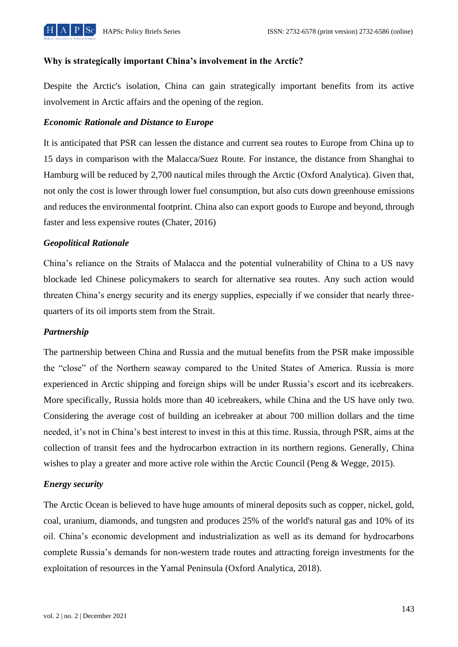

#### **Why is strategically important China's involvement in the Arctic?**

Despite the Arctic's isolation, China can gain strategically important benefits from its active involvement in Arctic affairs and the opening of the region.

## *Economic Rationale and Distance to Europe*

It is anticipated that PSR can lessen the distance and current sea routes to Europe from China up to 15 days in comparison with the Malacca/Suez Route. For instance, the distance from Shanghai to Hamburg will be reduced by 2,700 nautical miles through the Arctic (Oxford Analytica). Given that, not only the cost is lower through lower fuel consumption, but also cuts down greenhouse emissions and reduces the environmental footprint. China also can export goods to Europe and beyond, through faster and less expensive routes (Chater, 2016)

## *Geopolitical Rationale*

China's reliance on the Straits of Malacca and the potential vulnerability of China to a US navy blockade led Chinese policymakers to search for alternative sea routes. Any such action would threaten China's energy security and its energy supplies, especially if we consider that nearly threequarters of its oil imports stem from the Strait.

#### *Partnership*

The partnership between China and Russia and the mutual benefits from the PSR make impossible the "close" of the Northern seaway compared to the United States of America. Russia is more experienced in Arctic shipping and foreign ships will be under Russia's escort and its icebreakers. More specifically, Russia holds more than 40 icebreakers, while China and the US have only two. Considering the average cost of building an icebreaker at about 700 million dollars and the time needed, it's not in China's best interest to invest in this at this time. Russia, through PSR, aims at the collection of transit fees and the hydrocarbon extraction in its northern regions. Generally, China wishes to play a greater and more active role within the Arctic Council (Peng & Wegge, 2015).

#### *Energy security*

The Arctic Ocean is believed to have huge amounts of mineral deposits such as copper, nickel, gold, coal, uranium, diamonds, and tungsten and produces 25% of the world's natural gas and 10% of its oil. China's economic development and industrialization as well as its demand for hydrocarbons complete Russia's demands for non-western trade routes and attracting foreign investments for the exploitation of resources in the Yamal Peninsula (Oxford Analytica, 2018).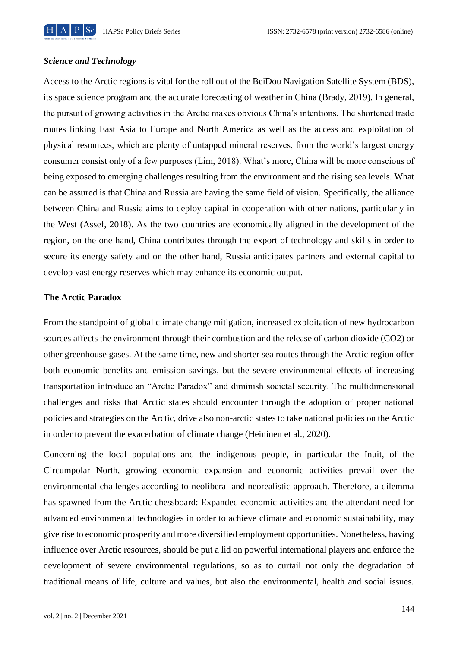

#### *Science and Technology*

Access to the Arctic regions is vital for the roll out of the BeiDou Navigation Satellite System (BDS), its space science program and the accurate forecasting of weather in China (Brady, 2019). In general, the pursuit of growing activities in the Arctic makes obvious China's intentions. The shortened trade routes linking East Asia to Europe and North America as well as the access and exploitation of physical resources, which are plenty of untapped mineral reserves, from the world's largest energy consumer consist only of a few purposes (Lim, 2018). What's more, China will be more conscious of being exposed to emerging challenges resulting from the environment and the rising sea levels. What can be assured is that China and Russia are having the same field of vision. Specifically, the alliance between China and Russia aims to deploy capital in cooperation with other nations, particularly in the West (Assef, 2018). As the two countries are economically aligned in the development of the region, on the one hand, China contributes through the export of technology and skills in order to secure its energy safety and on the other hand, Russia anticipates partners and external capital to develop vast energy reserves which may enhance its economic output.

## **The Arctic Paradox**

From the standpoint of global climate change mitigation, increased exploitation of new hydrocarbon sources affects the environment through their combustion and the release of carbon dioxide (CO2) or other greenhouse gases. At the same time, new and shorter sea routes through the Arctic region offer both economic benefits and emission savings, but the severe environmental effects of increasing transportation introduce an "Arctic Paradox" and diminish societal security. The multidimensional challenges and risks that Arctic states should encounter through the adoption of proper national policies and strategies on the Arctic, drive also non-arctic states to take national policies on the Arctic in order to prevent the exacerbation of climate change (Heininen et al., 2020).

Concerning the local populations and the indigenous people, in particular the Inuit, of the Circumpolar North, growing economic expansion and economic activities prevail over the environmental challenges according to neoliberal and neorealistic approach. Therefore, a dilemma has spawned from the Arctic chessboard: Expanded economic activities and the attendant need for advanced environmental technologies in order to achieve climate and economic sustainability, may give rise to economic prosperity and more diversified employment opportunities. Nonetheless, having influence over Arctic resources, should be put a lid on powerful international players and enforce the development of severe environmental regulations, so as to curtail not only the degradation of traditional means of life, culture and values, but also the environmental, health and social issues.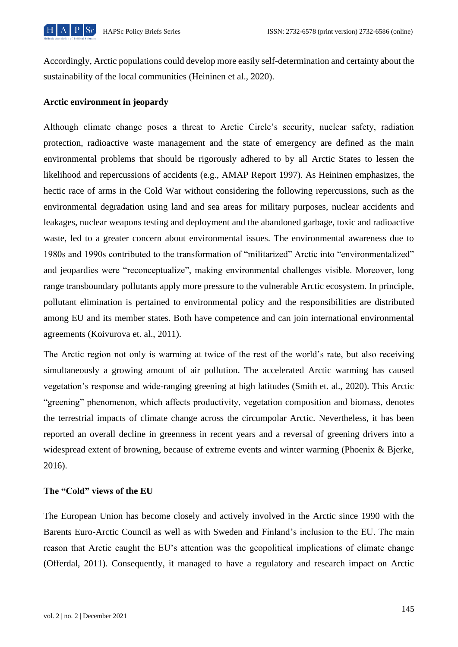

Accordingly, Arctic populations could develop more easily self-determination and certainty about the sustainability of the local communities (Heininen et al., 2020).

## **Arctic environment in jeopardy**

Although climate change poses a threat to Arctic Circle's security, nuclear safety, radiation protection, radioactive waste management and the state of emergency are defined as the main environmental problems that should be rigorously adhered to by all Arctic States to lessen the likelihood and repercussions of accidents (e.g., AMAP Report 1997). As Heininen emphasizes, the hectic race of arms in the Cold War without considering the following repercussions, such as the environmental degradation using land and sea areas for military purposes, nuclear accidents and leakages, nuclear weapons testing and deployment and the abandoned garbage, toxic and radioactive waste, led to a greater concern about environmental issues. The environmental awareness due to 1980s and 1990s contributed to the transformation of "militarized" Arctic into "environmentalized" and jeopardies were "reconceptualize", making environmental challenges visible. Moreover, long range transboundary pollutants apply more pressure to the vulnerable Arctic ecosystem. In principle, pollutant elimination is pertained to environmental policy and the responsibilities are distributed among EU and its member states. Both have competence and can join international environmental agreements (Koivurova et. al., 2011).

The Arctic region not only is warming at twice of the rest of the world's rate, but also receiving simultaneously a growing amount of air pollution. The accelerated Arctic warming has caused vegetation's response and wide-ranging greening at high latitudes (Smith et. al., 2020). This Arctic "greening" phenomenon, which affects productivity, vegetation composition and biomass, denotes the terrestrial impacts of climate change across the circumpolar Arctic. Nevertheless, it has been reported an overall decline in greenness in recent years and a reversal of greening drivers into a widespread extent of browning, because of extreme events and winter warming (Phoenix & Bjerke, 2016).

#### **The "Cold" views of the EU**

The European Union has become closely and actively involved in the Arctic since 1990 with the Barents Euro-Arctic Council as well as with Sweden and Finland's inclusion to the EU. The main reason that Arctic caught the EU's attention was the geopolitical implications of climate change (Offerdal, 2011). Consequently, it managed to have a regulatory and research impact on Arctic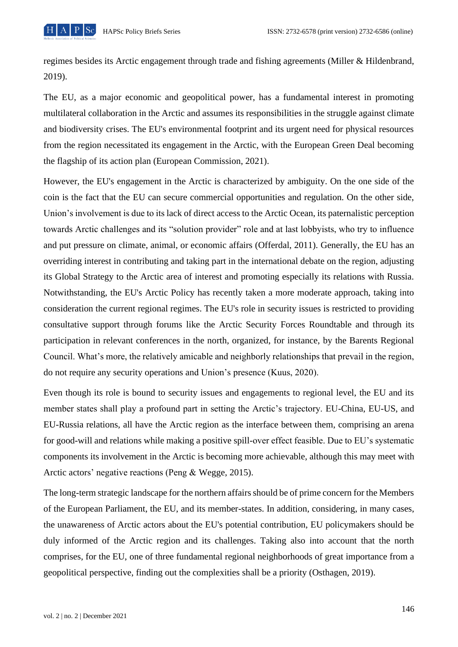

regimes besides its Arctic engagement through trade and fishing agreements (Miller & Hildenbrand, 2019).

The EU, as a major economic and geopolitical power, has a fundamental interest in promoting multilateral collaboration in the Arctic and assumes its responsibilities in the struggle against climate and biodiversity crises. The EU's environmental footprint and its urgent need for physical resources from the region necessitated its engagement in the Arctic, with the European Green Deal becoming the flagship of its action plan (European Commission, 2021).

However, the EU's engagement in the Arctic is characterized by ambiguity. On the one side of the coin is the fact that the EU can secure commercial opportunities and regulation. On the other side, Union's involvement is due to its lack of direct access to the Arctic Ocean, its paternalistic perception towards Arctic challenges and its "solution provider" role and at last lobbyists, who try to influence and put pressure on climate, animal, or economic affairs (Offerdal, 2011). Generally, the EU has an overriding interest in contributing and taking part in the international debate on the region, adjusting its Global Strategy to the Arctic area of interest and promoting especially its relations with Russia. Notwithstanding, the EU's Arctic Policy has recently taken a more moderate approach, taking into consideration the current regional regimes. The EU's role in security issues is restricted to providing consultative support through forums like the Arctic Security Forces Roundtable and through its participation in relevant conferences in the north, organized, for instance, by the Barents Regional Council. What's more, the relatively amicable and neighborly relationships that prevail in the region, do not require any security operations and Union's presence (Kuus, 2020).

Even though its role is bound to security issues and engagements to regional level, the EU and its member states shall play a profound part in setting the Arctic's trajectory. EU-China, EU-US, and EU-Russia relations, all have the Arctic region as the interface between them, comprising an arena for good-will and relations while making a positive spill-over effect feasible. Due to EU's systematic components its involvement in the Arctic is becoming more achievable, although this may meet with Arctic actors' negative reactions (Peng & Wegge, 2015).

The long-term strategic landscape for the northern affairs should be of prime concern for the Members of the European Parliament, the EU, and its member-states. In addition, considering, in many cases, the unawareness of Arctic actors about the EU's potential contribution, EU policymakers should be duly informed of the Arctic region and its challenges. Taking also into account that the north comprises, for the EU, one of three fundamental regional neighborhoods of great importance from a geopolitical perspective, finding out the complexities shall be a priority (Osthagen, 2019).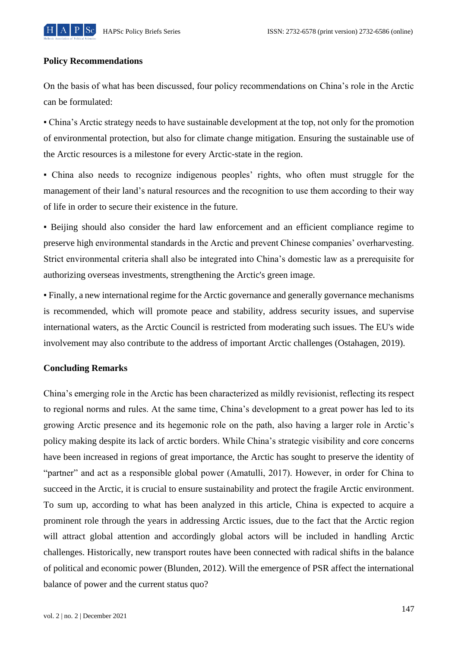

#### **Policy Recommendations**

On the basis of what has been discussed, four policy recommendations on China's role in the Arctic can be formulated:

▪ China's Arctic strategy needs to have sustainable development at the top, not only for the promotion of environmental protection, but also for climate change mitigation. Ensuring the sustainable use of the Arctic resources is a milestone for every Arctic-state in the region.

▪ China also needs to recognize indigenous peoples' rights, who often must struggle for the management of their land's natural resources and the recognition to use them according to their way of life in order to secure their existence in the future.

▪ Beijing should also consider the hard law enforcement and an efficient compliance regime to preserve high environmental standards in the Arctic and prevent Chinese companies' overharvesting. Strict environmental criteria shall also be integrated into China's domestic law as a prerequisite for authorizing overseas investments, strengthening the Arctic's green image.

▪ Finally, a new international regime for the Arctic governance and generally governance mechanisms is recommended, which will promote peace and stability, address security issues, and supervise international waters, as the Arctic Council is restricted from moderating such issues. The EU's wide involvement may also contribute to the address of important Arctic challenges (Ostahagen, 2019).

#### **Concluding Remarks**

China's emerging role in the Arctic has been characterized as mildly revisionist, reflecting its respect to regional norms and rules. At the same time, China's development to a great power has led to its growing Arctic presence and its hegemonic role on the path, also having a larger role in Arctic's policy making despite its lack of arctic borders. While China's strategic visibility and core concerns have been increased in regions of great importance, the Arctic has sought to preserve the identity of "partner" and act as a responsible global power (Amatulli, 2017). However, in order for China to succeed in the Arctic, it is crucial to ensure sustainability and protect the fragile Arctic environment. To sum up, according to what has been analyzed in this article, China is expected to acquire a prominent role through the years in addressing Arctic issues, due to the fact that the Arctic region will attract global attention and accordingly global actors will be included in handling Arctic challenges. Historically, new transport routes have been connected with radical shifts in the balance of political and economic power (Blunden, 2012). Will the emergence of PSR affect the international balance of power and the current status quo?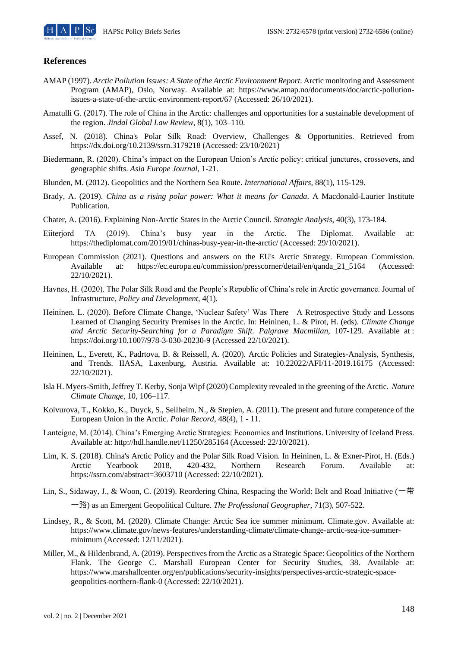#### **References**

- AMAP (1997). *Arctic Pollution Issues: A State of the Arctic Environment Report*. Arctic monitoring and Assessment Program (AMAP), Oslo, Norway. Available at: https://www.amap.no/documents/doc/arctic-pollutionissues-a-state-of-the-arctic-environment-report/67 (Accessed: 26/10/2021).
- Amatulli G. (2017). The role of China in the Arctic: challenges and opportunities for a sustainable development of the region. *Jindal Global Law Review*, 8(1), 103–110.
- Assef, N. (2018). China's Polar Silk Road: Overview, Challenges & Opportunities. Retrieved from https://dx.doi.org/10.2139/ssrn.3179218 (Accessed: 23/10/2021)
- Biedermann, R. (2020). China's impact on the European Union's Arctic policy: critical junctures, crossovers, and geographic shifts. *Asia Europe Journal*, 1-21.
- Blunden, M. (2012). Geopolitics and the Northern Sea Route. *International Affairs,* 88(1), 115-129.
- Brady, A. (2019). *China as a rising polar power: What it means for Canada*. A Macdonald-Laurier Institute Publication.
- Chater, A. (2016). Explaining Non-Arctic States in the Arctic Council. *Strategic Analysis*, 40(3), 173-184.
- Eiiterjord TA (2019). China's busy year in the Arctic. The Diplomat. Available at: https://thediplomat.com/2019/01/chinas-busy-year-in-the-arctic/ (Accessed: 29/10/2021).
- European Commission (2021). Questions and answers on the EU's Arctic Strategy. European Commission.<br>Available at: https://ec.europa.eu/commission/presscorner/detail/en/aanda 21 5164 (Accessed: Available at: https://ec.europa.eu/commission/presscorner/detail/en/qanda\_21\_5164 22/10/2021).
- Havnes, H. (2020). The Polar Silk Road and the People's Republic of China's role in Arctic governance. Journal of Infrastructure, *Policy and Development,* 4(1).
- Heininen, L. (2020). Before Climate Change, 'Nuclear Safety' Was There—A Retrospective Study and Lessons Learned of Changing Security Premises in the Arctic. In: Heininen, L. & Pirot, H. (eds). *Climate Change and Arctic Security-Searching for a Paradigm Shift. Palgrave Macmillan*, 107-129. Available at : https://doi.org/10.1007/978-3-030-20230-9 (Accessed 22/10/2021).
- Heininen, L., Everett, K., Padrtova, B. & Reissell, A. (2020). Arctic Policies and Strategies-Analysis, Synthesis, and Trends. IIASA, Laxenburg, Austria. Available at: 10.22022/AFI/11-2019.16175 (Accessed: 22/10/2021).
- Isla H. Myers-Smith, Jeffrey T. Kerby, Sonja Wipf (2020) Complexity revealed in the greening of the Arctic. *Nature Climate Change*, 10, 106–117.
- Koivurova, T., Kokko, K., Duyck, S., Sellheim, N., & Stepien, A. (2011). The present and future competence of the European Union in the Arctic. *Polar Record*, 48(4), 1 - 11.
- Lanteigne, M. (2014). China's Emerging Arctic Strategies: Economics and Institutions. University of Iceland Press. Available at: http://hdl.handle.net/11250/285164 (Accessed: 22/10/2021).
- Lim, K. S. (2018). China's Arctic Policy and the Polar Silk Road Vision. In Heininen, L. & Exner-Pirot, H. (Eds.) Arctic Yearbook 2018, 420-432, Northern Research Forum. Available at: https://ssrn.com/abstract=3603710 (Accessed: 22/10/2021).
- Lin, S., Sidaway, J., & Woon, C. (2019). Reordering China, Respacing the World: Belt and Road Initiative (一带 一路) as an Emergent Geopolitical Culture. *The Professional Geographer*, 71(3), 507-522.
- Lindsey, R., & Scott, M. (2020). Climate Change: Arctic Sea ice summer minimum. Climate.gov. Available at: https://www.climate.gov/news-features/understanding-climate/climate-change-arctic-sea-ice-summerminimum (Accessed: 12/11/2021).
- Miller, M., & Hildenbrand, A. (2019). Perspectives from the Arctic as a Strategic Space: Geopolitics of the Northern Flank. The George C. Marshall European Center for Security Studies, 38. Available at: https://www.marshallcenter.org/en/publications/security-insights/perspectives-arctic-strategic-spacegeopolitics-northern-flank-0 (Accessed: 22/10/2021).